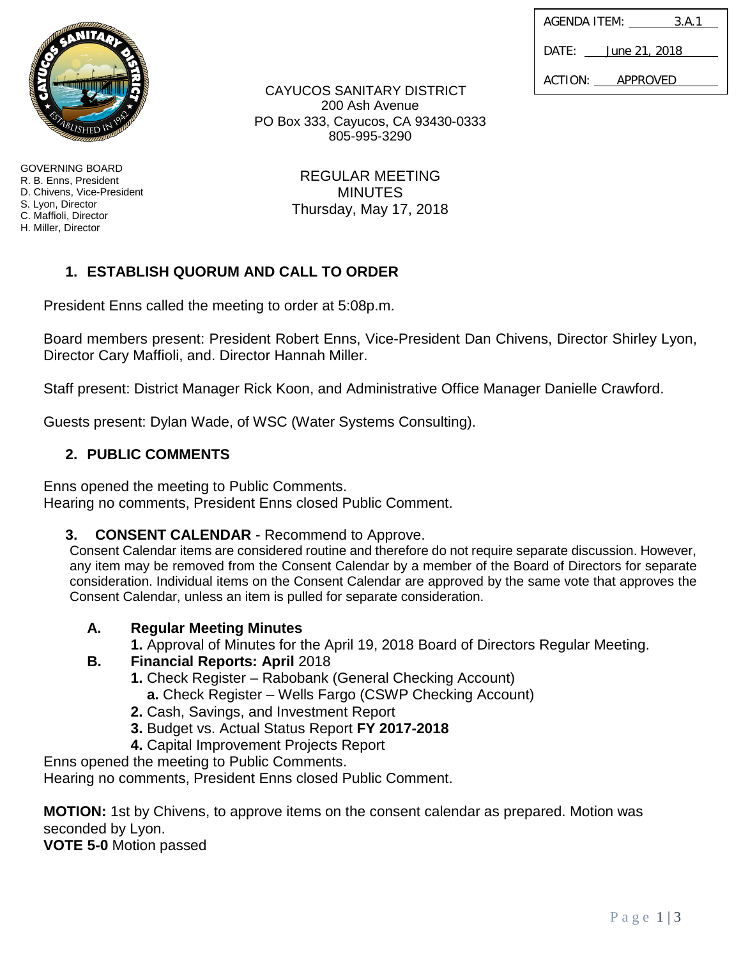| AGENDA ITEM: | 3.A.1         |
|--------------|---------------|
| DATE:        | June 21, 2018 |
| ACTION:      | APPROVED      |

CAYUCOS SANITARY DISTRICT 200 Ash Avenue PO Box 333, Cayucos, CA 93430-0333 805-995-3290

> REGULAR MEETING **MINUTES** Thursday, May 17, 2018

# **1. ESTABLISH QUORUM AND CALL TO ORDER**

President Enns called the meeting to order at 5:08p.m.

Board members present: President Robert Enns, Vice-President Dan Chivens, Director Shirley Lyon, Director Cary Maffioli, and. Director Hannah Miller.

Staff present: District Manager Rick Koon, and Administrative Office Manager Danielle Crawford.

Guests present: Dylan Wade, of WSC (Water Systems Consulting).

# **2. PUBLIC COMMENTS**

Enns opened the meeting to Public Comments. Hearing no comments, President Enns closed Public Comment.

**3. CONSENT CALENDAR** - Recommend to Approve.

Consent Calendar items are considered routine and therefore do not require separate discussion. However, any item may be removed from the Consent Calendar by a member of the Board of Directors for separate consideration. Individual items on the Consent Calendar are approved by the same vote that approves the Consent Calendar, unless an item is pulled for separate consideration.

# **A. Regular Meeting Minutes**

**1.** Approval of Minutes for the April 19, 2018 Board of Directors Regular Meeting.

# **B. Financial Reports: April** 2018

- **1.** Check Register Rabobank (General Checking Account)
- **a.** Check Register Wells Fargo (CSWP Checking Account)
- **2.** Cash, Savings, and Investment Report
- **3.** Budget vs. Actual Status Report **FY 2017-2018**
- **4.** Capital Improvement Projects Report

Enns opened the meeting to Public Comments.

Hearing no comments, President Enns closed Public Comment.

**MOTION:** 1st by Chivens, to approve items on the consent calendar as prepared. Motion was seconded by Lyon.

**VOTE 5-0** Motion passed



GOVERNING BOARD R. B. Enns, President D. Chivens, Vice-President S. Lyon, Director C. Maffioli, Director H. Miller, Director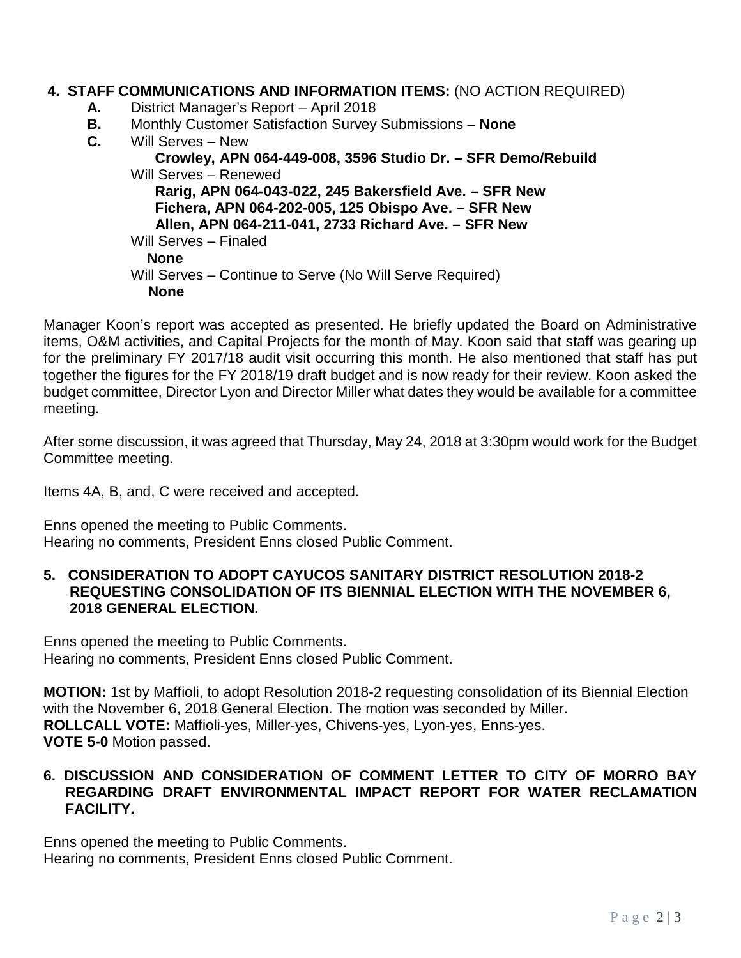## **4. STAFF COMMUNICATIONS AND INFORMATION ITEMS:** (NO ACTION REQUIRED)

- **A.** District Manager's Report April 2018
- **B.** Monthly Customer Satisfaction Survey Submissions **None**
- **C.** Will Serves New

# **Crowley, APN 064-449-008, 3596 Studio Dr. – SFR Demo/Rebuild** Will Serves – Renewed

 **Rarig, APN 064-043-022, 245 Bakersfield Ave. – SFR New Fichera, APN 064-202-005, 125 Obispo Ave. – SFR New Allen, APN 064-211-041, 2733 Richard Ave. – SFR New** Will Serves – Finaled **None** Will Serves – Continue to Serve (No Will Serve Required) **None**

Manager Koon's report was accepted as presented. He briefly updated the Board on Administrative items, O&M activities, and Capital Projects for the month of May. Koon said that staff was gearing up for the preliminary FY 2017/18 audit visit occurring this month. He also mentioned that staff has put together the figures for the FY 2018/19 draft budget and is now ready for their review. Koon asked the budget committee, Director Lyon and Director Miller what dates they would be available for a committee meeting.

After some discussion, it was agreed that Thursday, May 24, 2018 at 3:30pm would work for the Budget Committee meeting.

Items 4A, B, and, C were received and accepted.

Enns opened the meeting to Public Comments. Hearing no comments, President Enns closed Public Comment.

#### **5. CONSIDERATION TO ADOPT CAYUCOS SANITARY DISTRICT RESOLUTION 2018-2 REQUESTING CONSOLIDATION OF ITS BIENNIAL ELECTION WITH THE NOVEMBER 6, 2018 GENERAL ELECTION.**

Enns opened the meeting to Public Comments. Hearing no comments, President Enns closed Public Comment.

**MOTION:** 1st by Maffioli, to adopt Resolution 2018-2 requesting consolidation of its Biennial Election with the November 6, 2018 General Election. The motion was seconded by Miller. **ROLLCALL VOTE:** Maffioli-yes, Miller-yes, Chivens-yes, Lyon-yes, Enns-yes. **VOTE 5-0** Motion passed.

## **6. DISCUSSION AND CONSIDERATION OF COMMENT LETTER TO CITY OF MORRO BAY REGARDING DRAFT ENVIRONMENTAL IMPACT REPORT FOR WATER RECLAMATION FACILITY.**

Enns opened the meeting to Public Comments. Hearing no comments, President Enns closed Public Comment.